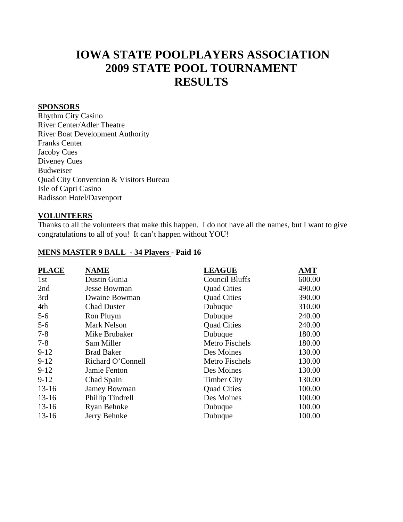# **IOWA STATE POOLPLAYERS ASSOCIATION 2009 STATE POOL TOURNAMENT RESULTS**

#### **SPONSORS**

Rhythm City Casino River Center/Adler Theatre River Boat Development Authority Franks Center Jacoby Cues Diveney Cues Budweiser Quad City Convention & Visitors Bureau Isle of Capri Casino Radisson Hotel/Davenport

#### **VOLUNTEERS**

Thanks to all the volunteers that make this happen. I do not have all the names, but I want to give congratulations to all of you! It can't happen without YOU!

#### **MENS MASTER 9 BALL - 34 Players - Paid 16**

| <b>PLACE</b> | <b>NAME</b>         | <b>LEAGUE</b>         | <b>AMT</b> |
|--------------|---------------------|-----------------------|------------|
| 1st          | Dustin Gunia        | <b>Council Bluffs</b> | 600.00     |
| 2nd          | <b>Jesse Bowman</b> | <b>Quad Cities</b>    | 490.00     |
| 3rd          | Dwaine Bowman       | <b>Quad Cities</b>    | 390.00     |
| 4th          | <b>Chad Duster</b>  | Dubuque               | 310.00     |
| $5 - 6$      | Ron Pluym           | Dubuque               | 240.00     |
| $5 - 6$      | <b>Mark Nelson</b>  | <b>Quad Cities</b>    | 240.00     |
| $7 - 8$      | Mike Brubaker       | Dubuque               | 180.00     |
| $7 - 8$      | Sam Miller          | <b>Metro Fischels</b> | 180.00     |
| $9-12$       | <b>Brad Baker</b>   | Des Moines            | 130.00     |
| $9-12$       | Richard O'Connell   | <b>Metro Fischels</b> | 130.00     |
| $9-12$       | Jamie Fenton        | Des Moines            | 130.00     |
| $9-12$       | Chad Spain          | <b>Timber City</b>    | 130.00     |
| $13-16$      | <b>Jamey Bowman</b> | <b>Quad Cities</b>    | 100.00     |
| $13 - 16$    | Phillip Tindrell    | Des Moines            | 100.00     |
| $13 - 16$    | Ryan Behnke         | Dubuque               | 100.00     |
| $13-16$      | Jerry Behnke        | Dubuque               | 100.00     |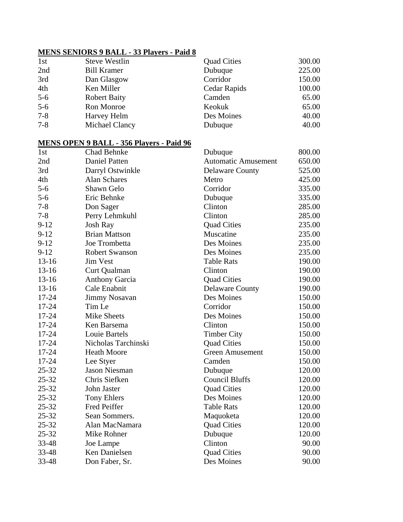#### **MENS SENIORS 9 BALL - 33 Players - Paid 8**

| 1st     | <b>Steve Westlin</b> | <b>Quad Cities</b> | 300.00 |
|---------|----------------------|--------------------|--------|
| 2nd     | <b>Bill Kramer</b>   | Dubuque            | 225.00 |
| 3rd     | Dan Glasgow          | Corridor           | 150.00 |
| 4th     | Ken Miller           | Cedar Rapids       | 100.00 |
| $5-6$   | <b>Robert Baity</b>  | Camden             | 65.00  |
| $5-6$   | Ron Monroe           | Keokuk             | 65.00  |
| $7 - 8$ | Harvey Helm          | Des Moines         | 40.00  |
| $7 - 8$ | Michael Clancy       | Dubuque            | 40.00  |

#### **MENS OPEN 9 BALL - 356 Players - Paid 96**

| 1st       | <b>Chad Behnke</b>    | Dubuque                    | 800.00 |
|-----------|-----------------------|----------------------------|--------|
| 2nd       | <b>Daniel Patten</b>  | <b>Automatic Amusement</b> | 650.00 |
| 3rd       | Darryl Ostwinkle      | <b>Delaware County</b>     | 525.00 |
| 4th       | <b>Alan Schares</b>   | Metro                      | 425.00 |
| $5 - 6$   | Shawn Gelo            | Corridor                   | 335.00 |
| $5 - 6$   | Eric Behnke           | Dubuque                    | 335.00 |
| $7 - 8$   | Don Sager             | Clinton                    | 285.00 |
| $7 - 8$   | Perry Lehmkuhl        | Clinton                    | 285.00 |
| $9 - 12$  | <b>Josh Ray</b>       | <b>Quad Cities</b>         | 235.00 |
| $9 - 12$  | <b>Brian Mattson</b>  | Muscatine                  | 235.00 |
| $9 - 12$  | Joe Trombetta         | Des Moines                 | 235.00 |
| $9 - 12$  | <b>Robert Swanson</b> | Des Moines                 | 235.00 |
| $13 - 16$ | <b>Jim Vest</b>       | <b>Table Rats</b>          | 190.00 |
| $13 - 16$ | Curt Qualman          | Clinton                    | 190.00 |
| $13 - 16$ | <b>Anthony Garcia</b> | <b>Quad Cities</b>         | 190.00 |
| $13 - 16$ | Cale Enabnit          | <b>Delaware County</b>     | 190.00 |
| 17-24     | <b>Jimmy Nosavan</b>  | Des Moines                 | 150.00 |
| 17-24     | Tim Le                | Corridor                   | 150.00 |
| 17-24     | <b>Mike Sheets</b>    | Des Moines                 | 150.00 |
| $17 - 24$ | Ken Barsema           | Clinton                    | 150.00 |
| 17-24     | Louie Bartels         | <b>Timber City</b>         | 150.00 |
| $17 - 24$ | Nicholas Tarchinski   | <b>Quad Cities</b>         | 150.00 |
| 17-24     | <b>Heath Moore</b>    | <b>Green Amusement</b>     | 150.00 |
| 17-24     | Lee Styer             | Camden                     | 150.00 |
| 25-32     | <b>Jason Niesman</b>  | Dubuque                    | 120.00 |
| $25 - 32$ | Chris Siefken         | <b>Council Bluffs</b>      | 120.00 |
| $25 - 32$ | John Jaster           | <b>Quad Cities</b>         | 120.00 |
| $25 - 32$ | <b>Tony Ehlers</b>    | Des Moines                 | 120.00 |
| 25-32     | <b>Fred Peiffer</b>   | <b>Table Rats</b>          | 120.00 |
| 25-32     | Sean Sommers.         | Maquoketa                  | 120.00 |
| $25 - 32$ | Alan MacNamara        | <b>Quad Cities</b>         | 120.00 |
| 25-32     | Mike Rohner           | Dubuque                    | 120.00 |
| 33-48     | Joe Lampe             | Clinton                    | 90.00  |
| 33-48     | Ken Danielsen         | <b>Quad Cities</b>         | 90.00  |
| 33-48     | Don Faber, Sr.        | Des Moines                 | 90.00  |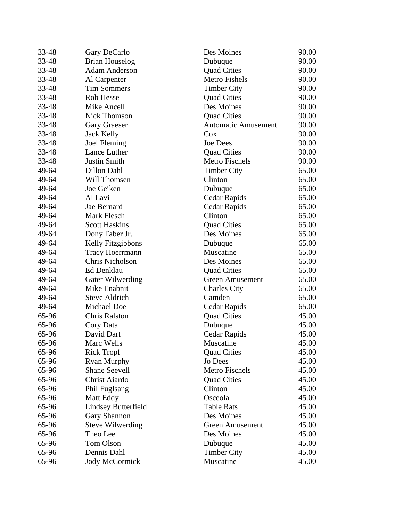| 33-48 | Gary DeCarlo               | Des Moines                 | 90.00 |
|-------|----------------------------|----------------------------|-------|
| 33-48 | <b>Brian Houselog</b>      | Dubuque                    | 90.00 |
| 33-48 | <b>Adam Anderson</b>       | <b>Quad Cities</b>         | 90.00 |
| 33-48 | Al Carpenter               | <b>Metro Fishels</b>       | 90.00 |
| 33-48 | <b>Tim Sommers</b>         | <b>Timber City</b>         | 90.00 |
| 33-48 | Rob Hesse                  | <b>Quad Cities</b>         | 90.00 |
| 33-48 | Mike Ancell                | Des Moines                 | 90.00 |
| 33-48 | <b>Nick Thomson</b>        | <b>Quad Cities</b>         | 90.00 |
| 33-48 | <b>Gary Graeser</b>        | <b>Automatic Amusement</b> | 90.00 |
| 33-48 | <b>Jack Kelly</b>          | Cox                        | 90.00 |
| 33-48 | <b>Joel Fleming</b>        | <b>Joe Dees</b>            | 90.00 |
| 33-48 | Lance Luther               | <b>Quad Cities</b>         | 90.00 |
| 33-48 | <b>Justin Smith</b>        | <b>Metro Fischels</b>      | 90.00 |
| 49-64 | Dillon Dahl                | <b>Timber City</b>         | 65.00 |
| 49-64 | Will Thomsen               | Clinton                    | 65.00 |
| 49-64 | Joe Geiken                 | Dubuque                    | 65.00 |
| 49-64 | Al Lavi                    | Cedar Rapids               | 65.00 |
| 49-64 | Jae Bernard                | Cedar Rapids               | 65.00 |
| 49-64 | Mark Flesch                | Clinton                    | 65.00 |
| 49-64 | <b>Scott Haskins</b>       | <b>Quad Cities</b>         | 65.00 |
| 49-64 | Dony Faber Jr.             | Des Moines                 | 65.00 |
| 49-64 | Kelly Fitzgibbons          | Dubuque                    | 65.00 |
| 49-64 | <b>Tracy Hoerrmann</b>     | Muscatine                  | 65.00 |
| 49-64 | Chris Nicholson            | Des Moines                 | 65.00 |
| 49-64 | Ed Denklau                 | <b>Quad Cities</b>         | 65.00 |
| 49-64 | Gater Wilwerding           | Green Amusement            | 65.00 |
| 49-64 | Mike Enabnit               | <b>Charles City</b>        | 65.00 |
| 49-64 | <b>Steve Aldrich</b>       | Camden                     | 65.00 |
| 49-64 | Michael Doe                | Cedar Rapids               | 65.00 |
| 65-96 | <b>Chris Ralston</b>       | <b>Quad Cities</b>         | 45.00 |
| 65-96 | Cory Data                  | Dubuque                    | 45.00 |
| 65-96 | David Dart                 | Cedar Rapids               | 45.00 |
| 65-96 | Marc Wells                 | Muscatine                  | 45.00 |
| 65-96 | <b>Rick Tropf</b>          | <b>Quad Cities</b>         | 45.00 |
| 65-96 | <b>Ryan Murphy</b>         | Jo Dees                    | 45.00 |
| 65-96 | <b>Shane Seevell</b>       | Metro Fischels             | 45.00 |
| 65-96 | Christ Aiardo              | <b>Quad Cities</b>         | 45.00 |
| 65-96 | Phil Fuglsang              | Clinton                    | 45.00 |
| 65-96 | Matt Eddy                  | Osceola                    | 45.00 |
| 65-96 | <b>Lindsey Butterfield</b> | <b>Table Rats</b>          | 45.00 |
| 65-96 | <b>Gary Shannon</b>        | Des Moines                 | 45.00 |
| 65-96 | <b>Steve Wilwerding</b>    | <b>Green Amusement</b>     | 45.00 |
| 65-96 | Theo Lee                   | Des Moines                 | 45.00 |
| 65-96 | <b>Tom Olson</b>           | Dubuque                    | 45.00 |
| 65-96 | Dennis Dahl                | <b>Timber City</b>         | 45.00 |
| 65-96 | <b>Jody McCormick</b>      | Muscatine                  | 45.00 |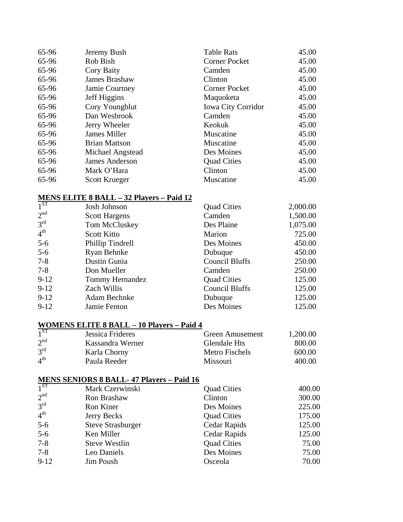| 65-96 | Jeremy Bush          | <b>Table Rats</b>         | 45.00 |
|-------|----------------------|---------------------------|-------|
| 65-96 | Rob Bish             | <b>Corner Pocket</b>      | 45.00 |
| 65-96 | Cory Baity           | Camden                    | 45.00 |
| 65-96 | James Brashaw        | Clinton                   | 45.00 |
| 65-96 | Jamie Courtney       | Corner Pocket             | 45.00 |
| 65-96 | Jeff Higgins         | Maquoketa                 | 45.00 |
| 65-96 | Cory Youngblut       | <b>Iowa City Corridor</b> | 45.00 |
| 65-96 | Dan Wesbrook         | Camden                    | 45.00 |
| 65-96 | Jerry Wheeler        | Keokuk                    | 45.00 |
| 65-96 | James Miller         | Muscatine                 | 45.00 |
| 65-96 | <b>Brian Mattson</b> | Muscatine                 | 45.00 |
| 65-96 | Michael Angstead     | Des Moines                | 45.00 |
| 65-96 | James Anderson       | <b>Quad Cities</b>        | 45.00 |
| 65-96 | Mark O'Hara          | Clinton                   | 45.00 |
| 65-96 | <b>Scott Krueger</b> | Muscatine                 | 45.00 |

## **MENS ELITE 8 BALL – 32 Players – Paid 12**

| 1 <sup>ST</sup> | Josh Johnson         | <b>Quad Cities</b>    | 2,000.00 |
|-----------------|----------------------|-----------------------|----------|
| 2 <sup>nd</sup> | <b>Scott Hargens</b> | Camden                | 1,500.00 |
| $3^{rd}$        | Tom McCluskey        | Des Plaine            | 1,075.00 |
| 4 <sup>th</sup> | <b>Scott Kitto</b>   | Marion                | 725.00   |
| $5-6$           | Phillip Tindrell     | Des Moines            | 450.00   |
| $5 - 6$         | Ryan Behnke          | Dubuque               | 450.00   |
| $7 - 8$         | Dustin Gunia         | <b>Council Bluffs</b> | 250.00   |
| $7-8$           | Don Mueller          | Camden                | 250.00   |
| $9-12$          | Tommy Hernandez      | <b>Quad Cities</b>    | 125.00   |
| $9 - 12$        | Zach Willis          | <b>Council Bluffs</b> | 125.00   |
| $9-12$          | Adam Bechnke         | Dubuque               | 125.00   |
| $9 - 12$        | Jamie Fenton         | Des Moines            | 125.00   |

## **WOMENS ELITE 8 BALL – 10 Players – Paid 4**

| 1 <sup>ST</sup> | Jessica Frideres | Green Amusement | 1,200.00 |
|-----------------|------------------|-----------------|----------|
| 2 <sup>nd</sup> | Kassandra Werner | Glendale Hts    | 800.00   |
| $3^{\text{rd}}$ | Karla Chorny     | Metro Fischels  | 600.00   |
| 4 <sup>th</sup> | Paula Reeder     | <b>Missouri</b> | 400.00   |

#### **MENS SENIORS 8 BALL- 47 Players – Paid 16**

| $1^{ST}$        | Mark Czerwinski          | <b>Quad Cities</b> | 400.00 |
|-----------------|--------------------------|--------------------|--------|
| 2 <sup>nd</sup> | Ron Brashaw              | Clinton            | 300.00 |
| 3 <sup>rd</sup> | Ron Kiner                | Des Moines         | 225.00 |
| 4 <sup>th</sup> | Jerry Becks              | <b>Quad Cities</b> | 175.00 |
| $5-6$           | <b>Steve Strasburger</b> | Cedar Rapids       | 125.00 |
| $5-6$           | Ken Miller               | Cedar Rapids       | 125.00 |
| $7 - 8$         | <b>Steve Westlin</b>     | <b>Quad Cities</b> | 75.00  |
| $7 - 8$         | Leo Daniels              | Des Moines         | 75.00  |
| $9 - 12$        | Jim Poush                | Osceola            | 70.00  |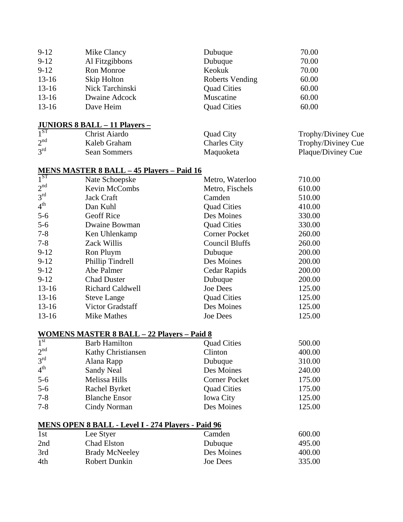| $9 - 12$  | Mike Clancy     | Dubuque            | 70.00 |
|-----------|-----------------|--------------------|-------|
| $9 - 12$  | Al Fitzgibbons  | Dubuque            | 70.00 |
| $9 - 12$  | Ron Monroe      | Keokuk             | 70.00 |
| $13-16$   | Skip Holton     | Roberts Vending    | 60.00 |
| $13 - 16$ | Nick Tarchinski | <b>Quad Cities</b> | 60.00 |
| $13 - 16$ | Dwaine Adcock   | Muscatine          | 60.00 |
| $13 - 16$ | Dave Heim       | <b>Quad Cities</b> | 60.00 |
|           |                 |                    |       |
|           |                 |                    |       |

## **JUNIORS 8 BALL – 11 Players –**<br>1<sup>ST</sup> Christ Ajardo 1<sup>ST</sup> Christ Aiardo Quad City Trophy/Diviney Cue<br>
2<sup>nd</sup> Kaleb Graham Charles City Trophy/Diviney Cue 2<sup>nd</sup> Kaleb Graham Charles City Trophy/Diviney Cue<br>
3<sup>rd</sup> Sean Sommers Maguoketa Plaque/Diviney Cue

Sean Sommers Maquoketa Plaque/Diviney Cue

#### **MENS MASTER 8 BALL – 45 Players – Paid 16**<br>1<sup>ST</sup> Nate Schoenske 1<sup>ST</sup> Nate Schoepske Metro, Waterloo 710.00<br>
2<sup>nd</sup> Kevin McCombs Metro, Fischels 610.00  $2<sup>nd</sup>$  Kevin McCombs Metro, Fischels 610.00<br>  $3<sup>rd</sup>$  Tack Craft Camden 610.00  $3<sup>rd</sup>$  Jack Craft Camden 510.00 4<sup>th</sup> Dan Kuhl Quad Cities 410.00 5-6 Geoff Rice Des Moines 330.00 5-6 Dwaine Bowman Quad Cities 330.00 7-8 Ken Uhlenkamp Corner Pocket 260.00 7-8 Zack Willis Council Bluffs 260.00 9-12 Ron Pluym Dubuque 200.00 9-12 Phillip Tindrell Des Moines 200.00 9-12 Abe Palmer Cedar Rapids 200.00 9-12 Chad Duster Dubuque 200.00 13-16 Richard Caldwell Joe Dees 125.00 13-16 Steve Lange Duad Cities 125.00 13-16 Victor Gradstaff Des Moines 125.00 13-16 Mike Mathes Joe Dees 125.00

#### **WOMENS MASTER 8 BALL – 22 Players – Paid 8**

| $\overline{1}^{\rm st}$ | <b>Barb Hamilton</b>      | <b>Quad Cities</b>   | 500.00 |
|-------------------------|---------------------------|----------------------|--------|
| 2 <sup>nd</sup>         | <b>Kathy Christiansen</b> | Clinton              | 400.00 |
| 3 <sup>rd</sup>         | Alana Rapp                | Dubuque              | 310.00 |
| 4 <sup>th</sup>         | Sandy Neal                | Des Moines           | 240.00 |
| $5-6$                   | Melissa Hills             | <b>Corner Pocket</b> | 175.00 |
| $5-6$                   | Rachel Byrket             | <b>Quad Cities</b>   | 175.00 |
| $7 - 8$                 | <b>Blanche Ensor</b>      | <b>Iowa City</b>     | 125.00 |
| $7 - 8$                 | Cindy Norman              | Des Moines           | 125.00 |

|     | <b>MENS OPEN 8 BALL - Level I - 274 Players - Paid 96</b> |            |        |
|-----|-----------------------------------------------------------|------------|--------|
| 1st | Lee Styer                                                 | Camden     | 600.00 |
| 2nd | Chad Elston                                               | Dubuque    | 495.00 |
| 3rd | <b>Brady McNeeley</b>                                     | Des Moines | 400.00 |
| 4th | Robert Dunkin                                             | Joe Dees   | 335.00 |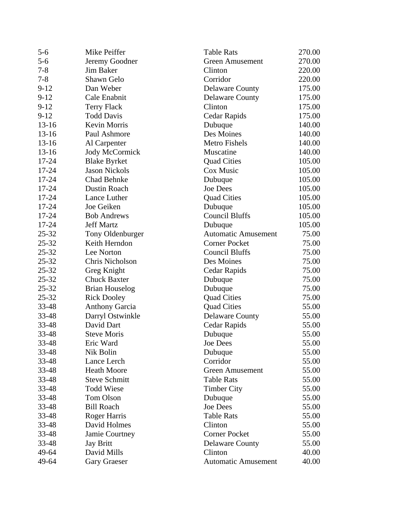| $5 - 6$   | Mike Peiffer          | <b>Table Rats</b>          | 270.00 |
|-----------|-----------------------|----------------------------|--------|
| $5 - 6$   | Jeremy Goodner        | <b>Green Amusement</b>     | 270.00 |
| $7 - 8$   | Jim Baker             | Clinton                    | 220.00 |
| $7 - 8$   | Shawn Gelo            | Corridor                   | 220.00 |
| $9 - 12$  | Dan Weber             | <b>Delaware County</b>     | 175.00 |
| $9 - 12$  | Cale Enabnit          | <b>Delaware County</b>     | 175.00 |
| $9-12$    | Terry Flack           | Clinton                    | 175.00 |
| $9-12$    | <b>Todd Davis</b>     | Cedar Rapids               | 175.00 |
| $13-16$   | Kevin Morris          | Dubuque                    | 140.00 |
| $13-16$   | Paul Ashmore          | Des Moines                 | 140.00 |
| $13-16$   | Al Carpenter          | <b>Metro Fishels</b>       | 140.00 |
| $13-16$   | <b>Jody McCormick</b> | Muscatine                  | 140.00 |
| $17 - 24$ | <b>Blake Byrket</b>   | <b>Quad Cities</b>         | 105.00 |
| 17-24     | <b>Jason Nickols</b>  | Cox Music                  | 105.00 |
| $17 - 24$ | <b>Chad Behnke</b>    | Dubuque                    | 105.00 |
| $17 - 24$ | Dustin Roach          | Joe Dees                   | 105.00 |
| $17 - 24$ | Lance Luther          | <b>Quad Cities</b>         | 105.00 |
| $17 - 24$ | Joe Geiken            | Dubuque                    | 105.00 |
| 17-24     | <b>Bob Andrews</b>    | <b>Council Bluffs</b>      | 105.00 |
| $17 - 24$ | <b>Jeff Martz</b>     | Dubuque                    | 105.00 |
| $25 - 32$ | Tony Oldenburger      | <b>Automatic Amusement</b> | 75.00  |
| $25 - 32$ | Keith Herndon         | <b>Corner Pocket</b>       | 75.00  |
| $25 - 32$ | Lee Norton            | <b>Council Bluffs</b>      | 75.00  |
| $25 - 32$ | Chris Nicholson       | Des Moines                 | 75.00  |
| 25-32     | Greg Knight           | Cedar Rapids               | 75.00  |
| $25 - 32$ | <b>Chuck Baxter</b>   | Dubuque                    | 75.00  |
| $25 - 32$ | <b>Brian Houselog</b> | Dubuque                    | 75.00  |
| $25 - 32$ | <b>Rick Dooley</b>    | <b>Quad Cities</b>         | 75.00  |
| 33-48     | <b>Anthony Garcia</b> | <b>Quad Cities</b>         | 55.00  |
| 33-48     | Darryl Ostwinkle      | <b>Delaware County</b>     | 55.00  |
| 33-48     | David Dart            | Cedar Rapids               | 55.00  |
| 33-48     | <b>Steve Moris</b>    | Dubuque                    | 55.00  |
| 33-48     | Eric Ward             | Joe Dees                   | 55.00  |
| 33-48     | Nik Bolin             | Dubuque                    | 55.00  |
| 33-48     | Lance Lerch           | Corridor                   | 55.00  |
| 33-48     | <b>Heath Moore</b>    | <b>Green Amusement</b>     | 55.00  |
| 33-48     | <b>Steve Schmitt</b>  | <b>Table Rats</b>          | 55.00  |
| 33-48     | <b>Todd Wiese</b>     | <b>Timber City</b>         | 55.00  |
| 33-48     | <b>Tom Olson</b>      | Dubuque                    | 55.00  |
| 33-48     | <b>Bill Roach</b>     | <b>Joe Dees</b>            | 55.00  |
| 33-48     | <b>Roger Harris</b>   | <b>Table Rats</b>          | 55.00  |
| 33-48     | David Holmes          | Clinton                    | 55.00  |
| 33-48     | Jamie Courtney        | <b>Corner Pocket</b>       | 55.00  |
| 33-48     | <b>Jay Britt</b>      | <b>Delaware County</b>     | 55.00  |
| 49-64     | David Mills           | Clinton                    | 40.00  |
| 49-64     | <b>Gary Graeser</b>   | <b>Automatic Amusement</b> | 40.00  |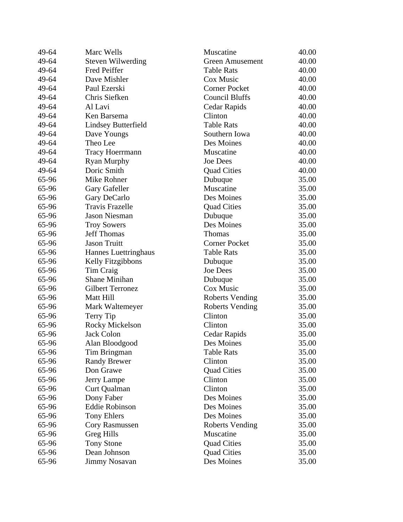| <b>Steven Wilwerding</b><br><b>Green Amusement</b><br>40.00<br><b>Table Rats</b><br>40.00<br>Fred Peiffer<br>Dave Mishler<br>Cox Music<br>40.00<br>Paul Ezerski<br><b>Corner Pocket</b><br>40.00<br>Chris Siefken<br>Council Bluffs<br>40.00<br>40.00<br>Al Lavi<br>Cedar Rapids<br>Ken Barsema<br>Clinton<br>40.00<br><b>Lindsey Butterfield</b><br><b>Table Rats</b><br>40.00<br>Southern Iowa<br>40.00<br>Dave Youngs<br>Theo Lee<br>Des Moines<br>40.00<br>Muscatine<br>40.00<br><b>Tracy Hoerrmann</b><br><b>Joe Dees</b><br>40.00<br><b>Ryan Murphy</b><br>Doric Smith<br><b>Quad Cities</b><br>40.00<br>Mike Rohner<br>Dubuque<br>35.00<br>Muscatine<br>35.00<br>Gary Gafeller<br>Des Moines<br>35.00<br>Gary DeCarlo<br><b>Travis Frazelle</b><br>35.00<br><b>Quad Cities</b><br><b>Jason Niesman</b><br>35.00<br>Dubuque<br>Des Moines<br>35.00<br><b>Troy Sowers</b><br><b>Jeff Thomas</b><br>Thomas<br>35.00<br><b>Jason Truitt</b><br><b>Corner Pocket</b><br>35.00<br><b>Table Rats</b><br>35.00<br>Hannes Luettringhaus<br>Kelly Fitzgibbons<br>35.00<br>Dubuque<br>Tim Craig<br><b>Joe Dees</b><br>35.00<br><b>Shane Minihan</b><br>35.00<br>Dubuque<br><b>Gilbert Terronez</b><br>Cox Music<br>35.00<br>Matt Hill<br>35.00<br><b>Roberts Vending</b><br>Mark Waltemeyer<br><b>Roberts Vending</b><br>35.00<br>Clinton<br>35.00<br>Terry Tip<br>Clinton<br>35.00<br>Rocky Mickelson<br><b>Jack Colon</b><br>Cedar Rapids<br>35.00<br>35.00<br>65-96<br>Alan Bloodgood<br>Des Moines<br>65-96<br>Tim Bringman<br>Table Rats<br>35.00<br>Clinton<br><b>Randy Brewer</b><br>35.00<br>Don Grawe<br><b>Quad Cities</b><br>35.00<br>Clinton<br>65-96<br>35.00<br>Jerry Lampe<br>Clinton<br>65-96<br>Curt Qualman<br>35.00<br>Des Moines<br>Dony Faber<br>35.00<br><b>Eddie Robinson</b><br>Des Moines<br>65-96<br>35.00<br><b>Tony Ehlers</b><br>Des Moines<br>35.00<br><b>Roberts Vending</b><br>35.00<br>Cory Rasmussen<br><b>Greg Hills</b><br>Muscatine<br>35.00<br>65-96<br><b>Tony Stone</b><br><b>Quad Cities</b><br>35.00<br>Dean Johnson<br><b>Quad Cities</b><br>35.00 | 49-64 | Marc Wells           | Muscatine  | 40.00 |
|-------------------------------------------------------------------------------------------------------------------------------------------------------------------------------------------------------------------------------------------------------------------------------------------------------------------------------------------------------------------------------------------------------------------------------------------------------------------------------------------------------------------------------------------------------------------------------------------------------------------------------------------------------------------------------------------------------------------------------------------------------------------------------------------------------------------------------------------------------------------------------------------------------------------------------------------------------------------------------------------------------------------------------------------------------------------------------------------------------------------------------------------------------------------------------------------------------------------------------------------------------------------------------------------------------------------------------------------------------------------------------------------------------------------------------------------------------------------------------------------------------------------------------------------------------------------------------------------------------------------------------------------------------------------------------------------------------------------------------------------------------------------------------------------------------------------------------------------------------------------------------------------------------------------------------------------------------------------------------------------------------------------------------------------------------------------------------------------|-------|----------------------|------------|-------|
|                                                                                                                                                                                                                                                                                                                                                                                                                                                                                                                                                                                                                                                                                                                                                                                                                                                                                                                                                                                                                                                                                                                                                                                                                                                                                                                                                                                                                                                                                                                                                                                                                                                                                                                                                                                                                                                                                                                                                                                                                                                                                           | 49-64 |                      |            |       |
|                                                                                                                                                                                                                                                                                                                                                                                                                                                                                                                                                                                                                                                                                                                                                                                                                                                                                                                                                                                                                                                                                                                                                                                                                                                                                                                                                                                                                                                                                                                                                                                                                                                                                                                                                                                                                                                                                                                                                                                                                                                                                           | 49-64 |                      |            |       |
|                                                                                                                                                                                                                                                                                                                                                                                                                                                                                                                                                                                                                                                                                                                                                                                                                                                                                                                                                                                                                                                                                                                                                                                                                                                                                                                                                                                                                                                                                                                                                                                                                                                                                                                                                                                                                                                                                                                                                                                                                                                                                           | 49-64 |                      |            |       |
|                                                                                                                                                                                                                                                                                                                                                                                                                                                                                                                                                                                                                                                                                                                                                                                                                                                                                                                                                                                                                                                                                                                                                                                                                                                                                                                                                                                                                                                                                                                                                                                                                                                                                                                                                                                                                                                                                                                                                                                                                                                                                           | 49-64 |                      |            |       |
|                                                                                                                                                                                                                                                                                                                                                                                                                                                                                                                                                                                                                                                                                                                                                                                                                                                                                                                                                                                                                                                                                                                                                                                                                                                                                                                                                                                                                                                                                                                                                                                                                                                                                                                                                                                                                                                                                                                                                                                                                                                                                           | 49-64 |                      |            |       |
|                                                                                                                                                                                                                                                                                                                                                                                                                                                                                                                                                                                                                                                                                                                                                                                                                                                                                                                                                                                                                                                                                                                                                                                                                                                                                                                                                                                                                                                                                                                                                                                                                                                                                                                                                                                                                                                                                                                                                                                                                                                                                           | 49-64 |                      |            |       |
|                                                                                                                                                                                                                                                                                                                                                                                                                                                                                                                                                                                                                                                                                                                                                                                                                                                                                                                                                                                                                                                                                                                                                                                                                                                                                                                                                                                                                                                                                                                                                                                                                                                                                                                                                                                                                                                                                                                                                                                                                                                                                           | 49-64 |                      |            |       |
|                                                                                                                                                                                                                                                                                                                                                                                                                                                                                                                                                                                                                                                                                                                                                                                                                                                                                                                                                                                                                                                                                                                                                                                                                                                                                                                                                                                                                                                                                                                                                                                                                                                                                                                                                                                                                                                                                                                                                                                                                                                                                           | 49-64 |                      |            |       |
|                                                                                                                                                                                                                                                                                                                                                                                                                                                                                                                                                                                                                                                                                                                                                                                                                                                                                                                                                                                                                                                                                                                                                                                                                                                                                                                                                                                                                                                                                                                                                                                                                                                                                                                                                                                                                                                                                                                                                                                                                                                                                           | 49-64 |                      |            |       |
|                                                                                                                                                                                                                                                                                                                                                                                                                                                                                                                                                                                                                                                                                                                                                                                                                                                                                                                                                                                                                                                                                                                                                                                                                                                                                                                                                                                                                                                                                                                                                                                                                                                                                                                                                                                                                                                                                                                                                                                                                                                                                           | 49-64 |                      |            |       |
|                                                                                                                                                                                                                                                                                                                                                                                                                                                                                                                                                                                                                                                                                                                                                                                                                                                                                                                                                                                                                                                                                                                                                                                                                                                                                                                                                                                                                                                                                                                                                                                                                                                                                                                                                                                                                                                                                                                                                                                                                                                                                           | 49-64 |                      |            |       |
|                                                                                                                                                                                                                                                                                                                                                                                                                                                                                                                                                                                                                                                                                                                                                                                                                                                                                                                                                                                                                                                                                                                                                                                                                                                                                                                                                                                                                                                                                                                                                                                                                                                                                                                                                                                                                                                                                                                                                                                                                                                                                           | 49-64 |                      |            |       |
|                                                                                                                                                                                                                                                                                                                                                                                                                                                                                                                                                                                                                                                                                                                                                                                                                                                                                                                                                                                                                                                                                                                                                                                                                                                                                                                                                                                                                                                                                                                                                                                                                                                                                                                                                                                                                                                                                                                                                                                                                                                                                           | 49-64 |                      |            |       |
|                                                                                                                                                                                                                                                                                                                                                                                                                                                                                                                                                                                                                                                                                                                                                                                                                                                                                                                                                                                                                                                                                                                                                                                                                                                                                                                                                                                                                                                                                                                                                                                                                                                                                                                                                                                                                                                                                                                                                                                                                                                                                           | 65-96 |                      |            |       |
|                                                                                                                                                                                                                                                                                                                                                                                                                                                                                                                                                                                                                                                                                                                                                                                                                                                                                                                                                                                                                                                                                                                                                                                                                                                                                                                                                                                                                                                                                                                                                                                                                                                                                                                                                                                                                                                                                                                                                                                                                                                                                           | 65-96 |                      |            |       |
|                                                                                                                                                                                                                                                                                                                                                                                                                                                                                                                                                                                                                                                                                                                                                                                                                                                                                                                                                                                                                                                                                                                                                                                                                                                                                                                                                                                                                                                                                                                                                                                                                                                                                                                                                                                                                                                                                                                                                                                                                                                                                           | 65-96 |                      |            |       |
|                                                                                                                                                                                                                                                                                                                                                                                                                                                                                                                                                                                                                                                                                                                                                                                                                                                                                                                                                                                                                                                                                                                                                                                                                                                                                                                                                                                                                                                                                                                                                                                                                                                                                                                                                                                                                                                                                                                                                                                                                                                                                           | 65-96 |                      |            |       |
|                                                                                                                                                                                                                                                                                                                                                                                                                                                                                                                                                                                                                                                                                                                                                                                                                                                                                                                                                                                                                                                                                                                                                                                                                                                                                                                                                                                                                                                                                                                                                                                                                                                                                                                                                                                                                                                                                                                                                                                                                                                                                           | 65-96 |                      |            |       |
|                                                                                                                                                                                                                                                                                                                                                                                                                                                                                                                                                                                                                                                                                                                                                                                                                                                                                                                                                                                                                                                                                                                                                                                                                                                                                                                                                                                                                                                                                                                                                                                                                                                                                                                                                                                                                                                                                                                                                                                                                                                                                           | 65-96 |                      |            |       |
|                                                                                                                                                                                                                                                                                                                                                                                                                                                                                                                                                                                                                                                                                                                                                                                                                                                                                                                                                                                                                                                                                                                                                                                                                                                                                                                                                                                                                                                                                                                                                                                                                                                                                                                                                                                                                                                                                                                                                                                                                                                                                           | 65-96 |                      |            |       |
|                                                                                                                                                                                                                                                                                                                                                                                                                                                                                                                                                                                                                                                                                                                                                                                                                                                                                                                                                                                                                                                                                                                                                                                                                                                                                                                                                                                                                                                                                                                                                                                                                                                                                                                                                                                                                                                                                                                                                                                                                                                                                           | 65-96 |                      |            |       |
|                                                                                                                                                                                                                                                                                                                                                                                                                                                                                                                                                                                                                                                                                                                                                                                                                                                                                                                                                                                                                                                                                                                                                                                                                                                                                                                                                                                                                                                                                                                                                                                                                                                                                                                                                                                                                                                                                                                                                                                                                                                                                           | 65-96 |                      |            |       |
|                                                                                                                                                                                                                                                                                                                                                                                                                                                                                                                                                                                                                                                                                                                                                                                                                                                                                                                                                                                                                                                                                                                                                                                                                                                                                                                                                                                                                                                                                                                                                                                                                                                                                                                                                                                                                                                                                                                                                                                                                                                                                           | 65-96 |                      |            |       |
|                                                                                                                                                                                                                                                                                                                                                                                                                                                                                                                                                                                                                                                                                                                                                                                                                                                                                                                                                                                                                                                                                                                                                                                                                                                                                                                                                                                                                                                                                                                                                                                                                                                                                                                                                                                                                                                                                                                                                                                                                                                                                           | 65-96 |                      |            |       |
|                                                                                                                                                                                                                                                                                                                                                                                                                                                                                                                                                                                                                                                                                                                                                                                                                                                                                                                                                                                                                                                                                                                                                                                                                                                                                                                                                                                                                                                                                                                                                                                                                                                                                                                                                                                                                                                                                                                                                                                                                                                                                           | 65-96 |                      |            |       |
|                                                                                                                                                                                                                                                                                                                                                                                                                                                                                                                                                                                                                                                                                                                                                                                                                                                                                                                                                                                                                                                                                                                                                                                                                                                                                                                                                                                                                                                                                                                                                                                                                                                                                                                                                                                                                                                                                                                                                                                                                                                                                           | 65-96 |                      |            |       |
|                                                                                                                                                                                                                                                                                                                                                                                                                                                                                                                                                                                                                                                                                                                                                                                                                                                                                                                                                                                                                                                                                                                                                                                                                                                                                                                                                                                                                                                                                                                                                                                                                                                                                                                                                                                                                                                                                                                                                                                                                                                                                           | 65-96 |                      |            |       |
|                                                                                                                                                                                                                                                                                                                                                                                                                                                                                                                                                                                                                                                                                                                                                                                                                                                                                                                                                                                                                                                                                                                                                                                                                                                                                                                                                                                                                                                                                                                                                                                                                                                                                                                                                                                                                                                                                                                                                                                                                                                                                           | 65-96 |                      |            |       |
|                                                                                                                                                                                                                                                                                                                                                                                                                                                                                                                                                                                                                                                                                                                                                                                                                                                                                                                                                                                                                                                                                                                                                                                                                                                                                                                                                                                                                                                                                                                                                                                                                                                                                                                                                                                                                                                                                                                                                                                                                                                                                           | 65-96 |                      |            |       |
|                                                                                                                                                                                                                                                                                                                                                                                                                                                                                                                                                                                                                                                                                                                                                                                                                                                                                                                                                                                                                                                                                                                                                                                                                                                                                                                                                                                                                                                                                                                                                                                                                                                                                                                                                                                                                                                                                                                                                                                                                                                                                           | 65-96 |                      |            |       |
|                                                                                                                                                                                                                                                                                                                                                                                                                                                                                                                                                                                                                                                                                                                                                                                                                                                                                                                                                                                                                                                                                                                                                                                                                                                                                                                                                                                                                                                                                                                                                                                                                                                                                                                                                                                                                                                                                                                                                                                                                                                                                           | 65-96 |                      |            |       |
|                                                                                                                                                                                                                                                                                                                                                                                                                                                                                                                                                                                                                                                                                                                                                                                                                                                                                                                                                                                                                                                                                                                                                                                                                                                                                                                                                                                                                                                                                                                                                                                                                                                                                                                                                                                                                                                                                                                                                                                                                                                                                           |       |                      |            |       |
|                                                                                                                                                                                                                                                                                                                                                                                                                                                                                                                                                                                                                                                                                                                                                                                                                                                                                                                                                                                                                                                                                                                                                                                                                                                                                                                                                                                                                                                                                                                                                                                                                                                                                                                                                                                                                                                                                                                                                                                                                                                                                           |       |                      |            |       |
|                                                                                                                                                                                                                                                                                                                                                                                                                                                                                                                                                                                                                                                                                                                                                                                                                                                                                                                                                                                                                                                                                                                                                                                                                                                                                                                                                                                                                                                                                                                                                                                                                                                                                                                                                                                                                                                                                                                                                                                                                                                                                           | 65-96 |                      |            |       |
|                                                                                                                                                                                                                                                                                                                                                                                                                                                                                                                                                                                                                                                                                                                                                                                                                                                                                                                                                                                                                                                                                                                                                                                                                                                                                                                                                                                                                                                                                                                                                                                                                                                                                                                                                                                                                                                                                                                                                                                                                                                                                           | 65-96 |                      |            |       |
|                                                                                                                                                                                                                                                                                                                                                                                                                                                                                                                                                                                                                                                                                                                                                                                                                                                                                                                                                                                                                                                                                                                                                                                                                                                                                                                                                                                                                                                                                                                                                                                                                                                                                                                                                                                                                                                                                                                                                                                                                                                                                           |       |                      |            |       |
|                                                                                                                                                                                                                                                                                                                                                                                                                                                                                                                                                                                                                                                                                                                                                                                                                                                                                                                                                                                                                                                                                                                                                                                                                                                                                                                                                                                                                                                                                                                                                                                                                                                                                                                                                                                                                                                                                                                                                                                                                                                                                           |       |                      |            |       |
|                                                                                                                                                                                                                                                                                                                                                                                                                                                                                                                                                                                                                                                                                                                                                                                                                                                                                                                                                                                                                                                                                                                                                                                                                                                                                                                                                                                                                                                                                                                                                                                                                                                                                                                                                                                                                                                                                                                                                                                                                                                                                           | 65-96 |                      |            |       |
|                                                                                                                                                                                                                                                                                                                                                                                                                                                                                                                                                                                                                                                                                                                                                                                                                                                                                                                                                                                                                                                                                                                                                                                                                                                                                                                                                                                                                                                                                                                                                                                                                                                                                                                                                                                                                                                                                                                                                                                                                                                                                           |       |                      |            |       |
|                                                                                                                                                                                                                                                                                                                                                                                                                                                                                                                                                                                                                                                                                                                                                                                                                                                                                                                                                                                                                                                                                                                                                                                                                                                                                                                                                                                                                                                                                                                                                                                                                                                                                                                                                                                                                                                                                                                                                                                                                                                                                           | 65-96 |                      |            |       |
|                                                                                                                                                                                                                                                                                                                                                                                                                                                                                                                                                                                                                                                                                                                                                                                                                                                                                                                                                                                                                                                                                                                                                                                                                                                                                                                                                                                                                                                                                                                                                                                                                                                                                                                                                                                                                                                                                                                                                                                                                                                                                           | 65-96 |                      |            |       |
|                                                                                                                                                                                                                                                                                                                                                                                                                                                                                                                                                                                                                                                                                                                                                                                                                                                                                                                                                                                                                                                                                                                                                                                                                                                                                                                                                                                                                                                                                                                                                                                                                                                                                                                                                                                                                                                                                                                                                                                                                                                                                           | 65-96 |                      |            |       |
|                                                                                                                                                                                                                                                                                                                                                                                                                                                                                                                                                                                                                                                                                                                                                                                                                                                                                                                                                                                                                                                                                                                                                                                                                                                                                                                                                                                                                                                                                                                                                                                                                                                                                                                                                                                                                                                                                                                                                                                                                                                                                           |       |                      |            |       |
|                                                                                                                                                                                                                                                                                                                                                                                                                                                                                                                                                                                                                                                                                                                                                                                                                                                                                                                                                                                                                                                                                                                                                                                                                                                                                                                                                                                                                                                                                                                                                                                                                                                                                                                                                                                                                                                                                                                                                                                                                                                                                           | 65-96 |                      |            |       |
|                                                                                                                                                                                                                                                                                                                                                                                                                                                                                                                                                                                                                                                                                                                                                                                                                                                                                                                                                                                                                                                                                                                                                                                                                                                                                                                                                                                                                                                                                                                                                                                                                                                                                                                                                                                                                                                                                                                                                                                                                                                                                           | 65-96 | <b>Jimmy Nosavan</b> | Des Moines | 35.00 |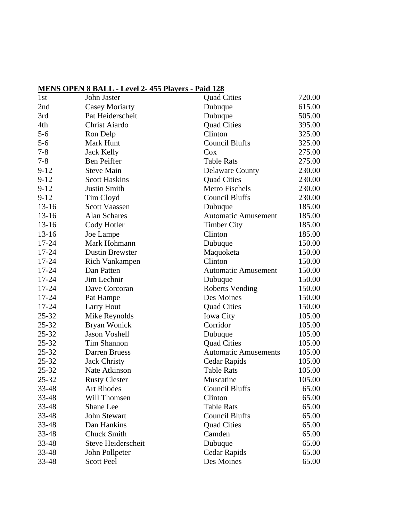## **MENS OPEN 8 BALL - Level 2- 455 Players - Paid 128**

| 1st       | John Jaster            | <b>Quad Cities</b>          | 720.00 |
|-----------|------------------------|-----------------------------|--------|
| 2nd       | <b>Casey Moriarty</b>  | Dubuque                     | 615.00 |
| 3rd       | Pat Heiderscheit       | Dubuque                     |        |
| 4th       | Christ Aiardo          | <b>Quad Cities</b>          | 395.00 |
| $5 - 6$   | Ron Delp               | Clinton                     | 325.00 |
| $5-6$     | Mark Hunt              | <b>Council Bluffs</b>       | 325.00 |
| $7 - 8$   | <b>Jack Kelly</b>      | Cox                         | 275.00 |
| $7 - 8$   | <b>Ben Peiffer</b>     | <b>Table Rats</b>           | 275.00 |
| $9-12$    | <b>Steve Main</b>      | <b>Delaware County</b>      | 230.00 |
| $9-12$    | <b>Scott Haskins</b>   | <b>Quad Cities</b>          | 230.00 |
| $9 - 12$  | Justin Smith           | Metro Fischels              | 230.00 |
| $9 - 12$  | Tim Cloyd              | <b>Council Bluffs</b>       | 230.00 |
| $13-16$   | <b>Scott Vaassen</b>   | Dubuque                     | 185.00 |
| $13 - 16$ | <b>Alan Schares</b>    | <b>Automatic Amusement</b>  | 185.00 |
| $13 - 16$ | Cody Hotler            | <b>Timber City</b>          | 185.00 |
| $13 - 16$ | Joe Lampe              | Clinton                     | 185.00 |
| $17 - 24$ | Mark Hohmann           | Dubuque                     | 150.00 |
| 17-24     | <b>Dustin Brewster</b> | Maquoketa                   | 150.00 |
| $17 - 24$ | Rich Vankampen         | Clinton                     | 150.00 |
| $17 - 24$ | Dan Patten             | <b>Automatic Amusement</b>  | 150.00 |
| 17-24     | Jim Lechnir            | Dubuque                     | 150.00 |
| $17 - 24$ | Dave Corcoran          | <b>Roberts Vending</b>      | 150.00 |
| $17 - 24$ | Pat Hampe              | Des Moines                  | 150.00 |
| $17 - 24$ | <b>Larry Hout</b>      | <b>Quad Cities</b>          | 150.00 |
| $25 - 32$ | Mike Reynolds          | <b>Iowa City</b>            | 105.00 |
| $25 - 32$ | Bryan Wonick           | Corridor                    | 105.00 |
| $25 - 32$ | <b>Jason Voshell</b>   | Dubuque                     | 105.00 |
| $25 - 32$ | Tim Shannon            | <b>Quad Cities</b>          | 105.00 |
| $25 - 32$ | Darren Bruess          | <b>Automatic Amusements</b> | 105.00 |
| $25 - 32$ | <b>Jack Christy</b>    | Cedar Rapids                | 105.00 |
| $25 - 32$ | Nate Atkinson          | <b>Table Rats</b>           | 105.00 |
| 25-32     | <b>Rusty Clester</b>   | Muscatine                   | 105.00 |
| 33-48     | <b>Art Rhodes</b>      | Council Bluffs              | 65.00  |
| 33-48     | Will Thomsen           | Clinton                     | 65.00  |
| 33-48     | Shane Lee              | <b>Table Rats</b>           | 65.00  |
| 33-48     | John Stewart           | <b>Council Bluffs</b>       | 65.00  |
| 33-48     | Dan Hankins            | <b>Quad Cities</b>          | 65.00  |
| 33-48     | <b>Chuck Smith</b>     | Camden                      | 65.00  |
| 33-48     | Steve Heiderscheit     | Dubuque                     | 65.00  |
| 33-48     | John Pollpeter         | Cedar Rapids                | 65.00  |
| 33-48     | <b>Scott Peel</b>      | Des Moines                  | 65.00  |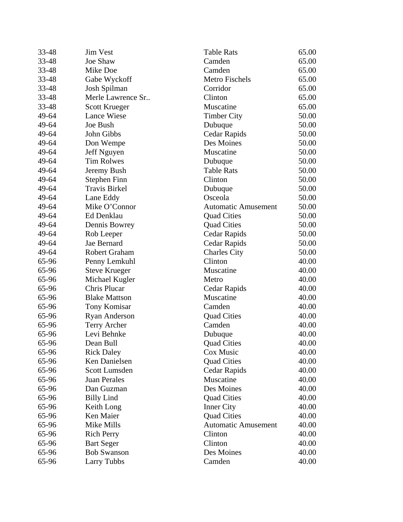| 33-48 | <b>Jim Vest</b>      | <b>Table Rats</b>          | 65.00 |
|-------|----------------------|----------------------------|-------|
| 33-48 | Joe Shaw             | Camden                     |       |
| 33-48 | Mike Doe             | Camden                     | 65.00 |
| 33-48 | Gabe Wyckoff         | Metro Fischels             | 65.00 |
| 33-48 | Josh Spilman         | Corridor                   | 65.00 |
| 33-48 | Merle Lawrence Sr    | Clinton                    | 65.00 |
| 33-48 | <b>Scott Krueger</b> | Muscatine                  | 65.00 |
| 49-64 | <b>Lance Wiese</b>   | <b>Timber City</b>         | 50.00 |
| 49-64 | Joe Bush             | Dubuque                    | 50.00 |
| 49-64 | John Gibbs           | <b>Cedar Rapids</b>        | 50.00 |
| 49-64 | Don Wempe            | Des Moines                 | 50.00 |
| 49-64 | Jeff Nguyen          | Muscatine                  | 50.00 |
| 49-64 | <b>Tim Rolwes</b>    | Dubuque                    | 50.00 |
| 49-64 | Jeremy Bush          | <b>Table Rats</b>          | 50.00 |
| 49-64 | <b>Stephen Finn</b>  | Clinton                    | 50.00 |
| 49-64 | <b>Travis Birkel</b> | Dubuque                    | 50.00 |
| 49-64 | Lane Eddy            | Osceola                    | 50.00 |
| 49-64 | Mike O'Connor        | <b>Automatic Amusement</b> | 50.00 |
| 49-64 | Ed Denklau           | <b>Quad Cities</b>         | 50.00 |
| 49-64 | Dennis Bowrey        | <b>Quad Cities</b>         | 50.00 |
| 49-64 | Rob Leeper           | Cedar Rapids               | 50.00 |
| 49-64 | Jae Bernard          | Cedar Rapids               | 50.00 |
| 49-64 | Robert Graham        | <b>Charles City</b>        | 50.00 |
| 65-96 | Penny Lemkuhl        | Clinton                    | 40.00 |
| 65-96 | <b>Steve Krueger</b> | Muscatine                  | 40.00 |
| 65-96 | Michael Kugler       | Metro                      | 40.00 |
| 65-96 | Chris Plucar         | Cedar Rapids               | 40.00 |
| 65-96 | <b>Blake Mattson</b> | Muscatine                  | 40.00 |
| 65-96 | Tony Komisar         | Camden                     | 40.00 |
| 65-96 | <b>Ryan Anderson</b> | <b>Quad Cities</b>         | 40.00 |
| 65-96 | Terry Archer         | Camden                     | 40.00 |
| 65-96 | Levi Behnke          | Dubuque                    | 40.00 |
| 65-96 | Dean Bull            | <b>Quad Cities</b>         | 40.00 |
| 65-96 | <b>Rick Daley</b>    | Cox Music                  | 40.00 |
| 65-96 | Ken Danielsen        | <b>Quad Cities</b>         | 40.00 |
| 65-96 | Scott Lumsden        | Cedar Rapids               | 40.00 |
| 65-96 | <b>Juan Perales</b>  | Muscatine                  | 40.00 |
| 65-96 | Dan Guzman           | Des Moines                 | 40.00 |
| 65-96 | <b>Billy Lind</b>    | <b>Quad Cities</b>         | 40.00 |
| 65-96 | Keith Long           | <b>Inner City</b>          | 40.00 |
| 65-96 | Ken Maier            | <b>Quad Cities</b>         | 40.00 |
| 65-96 | Mike Mills           | <b>Automatic Amusement</b> | 40.00 |
| 65-96 | <b>Rich Perry</b>    | Clinton                    | 40.00 |
| 65-96 | <b>Bart Seger</b>    | Clinton                    | 40.00 |
| 65-96 | <b>Bob Swanson</b>   | Des Moines                 | 40.00 |
| 65-96 | <b>Larry Tubbs</b>   | Camden                     | 40.00 |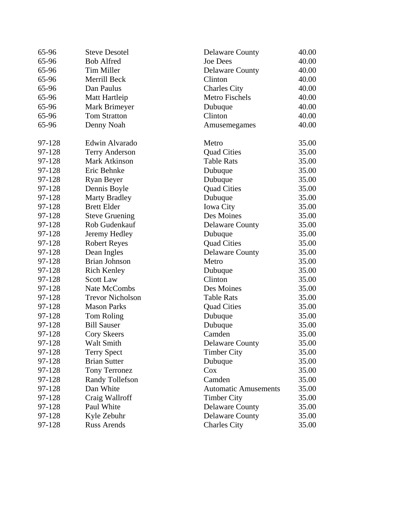| 65-96  | <b>Steve Desotel</b>    | <b>Delaware County</b>      | 40.00 |
|--------|-------------------------|-----------------------------|-------|
| 65-96  | <b>Bob Alfred</b>       | <b>Joe Dees</b>             |       |
| 65-96  | Tim Miller              | <b>Delaware County</b>      | 40.00 |
| 65-96  | Merrill Beck            | Clinton                     | 40.00 |
| 65-96  | Dan Paulus              | <b>Charles City</b>         | 40.00 |
| 65-96  | Matt Hartleip           | Metro Fischels              | 40.00 |
| 65-96  | Mark Brimeyer           | Dubuque                     | 40.00 |
| 65-96  | <b>Tom Stratton</b>     | Clinton                     | 40.00 |
| 65-96  | Denny Noah              | Amusemegames                | 40.00 |
| 97-128 | Edwin Alvarado          | Metro                       | 35.00 |
| 97-128 | <b>Terry Anderson</b>   | <b>Quad Cities</b>          | 35.00 |
| 97-128 | Mark Atkinson           | <b>Table Rats</b>           | 35.00 |
| 97-128 | Eric Behnke             | Dubuque                     | 35.00 |
| 97-128 | <b>Ryan Beyer</b>       | Dubuque                     | 35.00 |
| 97-128 | Dennis Boyle            | <b>Quad Cities</b>          | 35.00 |
| 97-128 | <b>Marty Bradley</b>    | Dubuque                     | 35.00 |
| 97-128 | <b>Brett Elder</b>      | <b>Iowa City</b>            | 35.00 |
| 97-128 | <b>Steve Gruening</b>   | Des Moines                  | 35.00 |
| 97-128 | Rob Gudenkauf           | <b>Delaware County</b>      | 35.00 |
| 97-128 | Jeremy Hedley           | Dubuque                     | 35.00 |
| 97-128 | <b>Robert Reyes</b>     | <b>Quad Cities</b>          | 35.00 |
| 97-128 | Dean Ingles             | <b>Delaware County</b>      | 35.00 |
| 97-128 | <b>Brian Johnson</b>    | Metro                       | 35.00 |
| 97-128 | <b>Rich Kenley</b>      | Dubuque                     | 35.00 |
| 97-128 | <b>Scott Law</b>        | Clinton                     | 35.00 |
| 97-128 | Nate McCombs            | Des Moines                  | 35.00 |
| 97-128 | <b>Trevor Nicholson</b> | <b>Table Rats</b>           | 35.00 |
| 97-128 | <b>Mason Parks</b>      | <b>Quad Cities</b>          | 35.00 |
| 97-128 | Tom Roling              | Dubuque                     | 35.00 |
| 97-128 | <b>Bill Sauser</b>      | Dubuque                     | 35.00 |
| 97-128 | Cory Skeers             | Camden                      | 35.00 |
| 97-128 | Walt Smith              | <b>Delaware County</b>      | 35.00 |
| 97-128 | <b>Terry Spect</b>      | <b>Timber City</b>          | 35.00 |
| 97-128 | <b>Brian Sutter</b>     | Dubuque                     | 35.00 |
| 97-128 | Tony Terronez           | Cox                         | 35.00 |
| 97-128 | <b>Randy Tollefson</b>  | Camden                      | 35.00 |
| 97-128 | Dan White               | <b>Automatic Amusements</b> | 35.00 |
| 97-128 | Craig Wallroff          | <b>Timber City</b>          | 35.00 |
| 97-128 | Paul White              | <b>Delaware County</b>      | 35.00 |
| 97-128 | Kyle Zebuhr             | <b>Delaware County</b>      | 35.00 |
| 97-128 | <b>Russ Arends</b>      | <b>Charles City</b>         | 35.00 |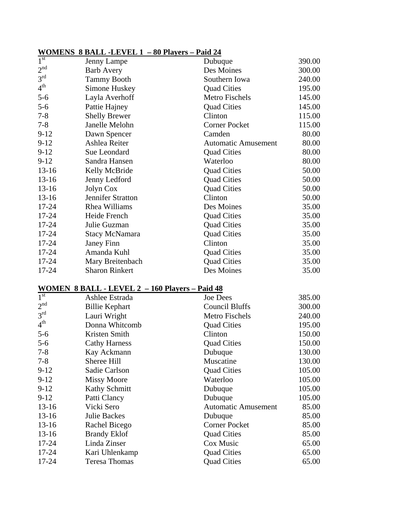## **WOMENS 8 BALL -LEVEL 1 – 80 Players – Paid 24**

| 1 <sup>st</sup> | Jenny Lampe              | Dubuque                    | 390.00 |
|-----------------|--------------------------|----------------------------|--------|
| 2 <sup>nd</sup> | <b>Barb Avery</b>        | Des Moines                 | 300.00 |
| 3 <sup>rd</sup> | <b>Tammy Booth</b>       | Southern Iowa              | 240.00 |
| 4 <sup>th</sup> | Simone Huskey            | <b>Quad Cities</b>         | 195.00 |
| $5 - 6$         | Layla Averhoff           | Metro Fischels             | 145.00 |
| $5 - 6$         | Pattie Hajney            | <b>Quad Cities</b>         | 145.00 |
| $7 - 8$         | <b>Shelly Brewer</b>     | Clinton                    | 115.00 |
| $7 - 8$         | Janelle Melohn           | <b>Corner Pocket</b>       | 115.00 |
| $9 - 12$        | Dawn Spencer             | Camden                     | 80.00  |
| $9-12$          | Ashlea Reiter            | <b>Automatic Amusement</b> | 80.00  |
| $9-12$          | Sue Leondard             | <b>Quad Cities</b>         | 80.00  |
| $9 - 12$        | Sandra Hansen            | Waterloo                   | 80.00  |
| $13-16$         | Kelly McBride            | <b>Quad Cities</b>         | 50.00  |
| $13-16$         | Jenny Ledford            | <b>Quad Cities</b>         | 50.00  |
| $13-16$         | Jolyn Cox                | <b>Quad Cities</b>         | 50.00  |
| $13-16$         | <b>Jennifer Stratton</b> | Clinton                    | 50.00  |
| $17 - 24$       | Rhea Williams            | Des Moines                 | 35.00  |
| $17 - 24$       | Heide French             | <b>Quad Cities</b>         | 35.00  |
| $17 - 24$       | Julie Guzman             | <b>Quad Cities</b>         | 35.00  |
| $17 - 24$       | <b>Stacy McNamara</b>    | <b>Quad Cities</b>         | 35.00  |
| $17 - 24$       | Janey Finn               | Clinton                    | 35.00  |
| 17-24           | Amanda Kuhl              | <b>Quad Cities</b>         | 35.00  |
| $17 - 24$       | Mary Breitenbach         | <b>Quad Cities</b>         | 35.00  |
| $17 - 24$       | <b>Sharon Rinkert</b>    | Des Moines                 | 35.00  |

## **WOMEN 8 BALL - LEVEL 2 – 160 Players – Paid 48**

| 1 <sup>st</sup> | Ashlee Estrada        | <b>Joe Dees</b>            | 385.00 |
|-----------------|-----------------------|----------------------------|--------|
| 2 <sup>nd</sup> | <b>Billie Kephart</b> | <b>Council Bluffs</b>      | 300.00 |
| 3 <sup>rd</sup> | Lauri Wright          | Metro Fischels             | 240.00 |
| 4 <sup>th</sup> | Donna Whitcomb        | <b>Quad Cities</b>         | 195.00 |
| $5 - 6$         | Kristen Smith         | Clinton                    | 150.00 |
| $5 - 6$         | <b>Cathy Harness</b>  | <b>Quad Cities</b>         | 150.00 |
| $7 - 8$         | Kay Ackmann           | Dubuque                    | 130.00 |
| $7-8$           | Sheree Hill           | Muscatine                  | 130.00 |
| $9-12$          | Sadie Carlson         | <b>Quad Cities</b>         | 105.00 |
| $9-12$          | <b>Missy Moore</b>    | Waterloo                   | 105.00 |
| $9-12$          | <b>Kathy Schmitt</b>  | Dubuque                    | 105.00 |
| $9-12$          | Patti Clancy          | Dubuque                    | 105.00 |
| $13-16$         | Vicki Sero            | <b>Automatic Amusement</b> | 85.00  |
| $13 - 16$       | <b>Julie Backes</b>   | Dubuque                    | 85.00  |
| $13 - 16$       | Rachel Bicego         | <b>Corner Pocket</b>       | 85.00  |
| $13 - 16$       | <b>Brandy Eklof</b>   | <b>Quad Cities</b>         | 85.00  |
| $17 - 24$       | Linda Zinser          | Cox Music                  | 65.00  |
| $17 - 24$       | Kari Uhlenkamp        | <b>Quad Cities</b>         | 65.00  |
| 17-24           | <b>Teresa Thomas</b>  | <b>Quad Cities</b>         | 65.00  |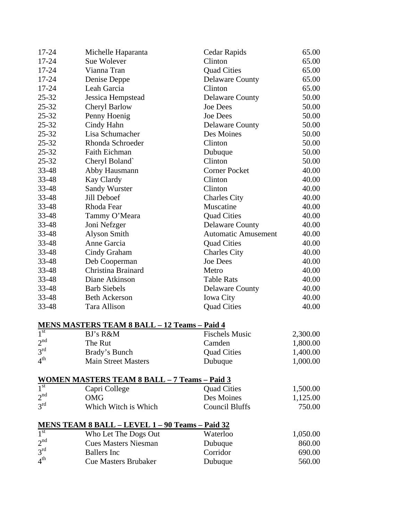| 17-24                   | Michelle Haparanta                                                                            | Cedar Rapids               | 65.00    |
|-------------------------|-----------------------------------------------------------------------------------------------|----------------------------|----------|
| 17-24                   | Clinton<br>Sue Wolever                                                                        |                            | 65.00    |
| $17 - 24$               | Vianna Tran                                                                                   | <b>Quad Cities</b>         | 65.00    |
| 17-24                   | Denise Deppe                                                                                  | <b>Delaware County</b>     | 65.00    |
| 17-24                   | Leah Garcia                                                                                   | Clinton                    | 65.00    |
| $25 - 32$               | Jessica Hempstead                                                                             | <b>Delaware County</b>     | 50.00    |
| $25 - 32$               | Cheryl Barlow                                                                                 | <b>Joe Dees</b>            | 50.00    |
| 25-32                   | Penny Hoenig                                                                                  | <b>Joe Dees</b>            | 50.00    |
| $25 - 32$               | Cindy Hahn                                                                                    | <b>Delaware County</b>     | 50.00    |
| $25 - 32$               | Lisa Schumacher                                                                               | Des Moines                 | 50.00    |
| $25 - 32$               | Rhonda Schroeder                                                                              | Clinton                    | 50.00    |
| $25 - 32$               | <b>Faith Eichman</b>                                                                          | Dubuque                    | 50.00    |
| $25 - 32$               | Cheryl Boland`                                                                                | Clinton                    | 50.00    |
| 33-48                   | Abby Hausmann                                                                                 | <b>Corner Pocket</b>       | 40.00    |
| 33-48                   | Kay Clardy                                                                                    | Clinton                    | 40.00    |
| 33-48                   | <b>Sandy Wurster</b>                                                                          | Clinton                    | 40.00    |
| 33-48                   | Jill Deboef                                                                                   | <b>Charles City</b>        | 40.00    |
| 33-48                   | Rhoda Fear                                                                                    | Muscatine                  | 40.00    |
| 33-48                   | Tammy O'Meara                                                                                 | <b>Quad Cities</b>         | 40.00    |
| 33-48                   | Joni Nefzger                                                                                  | <b>Delaware County</b>     | 40.00    |
| 33-48                   | <b>Alyson Smith</b>                                                                           | <b>Automatic Amusement</b> | 40.00    |
| 33-48                   | Anne Garcia                                                                                   | <b>Quad Cities</b>         | 40.00    |
| 33-48                   | Cindy Graham                                                                                  | <b>Charles City</b>        | 40.00    |
| 33-48                   | Deb Cooperman                                                                                 | <b>Joe Dees</b>            | 40.00    |
| 33-48                   | Christina Brainard                                                                            | Metro                      | 40.00    |
| 33-48                   | Diane Atkinson                                                                                | <b>Table Rats</b>          | 40.00    |
| 33-48                   | <b>Barb Siebels</b>                                                                           | <b>Delaware County</b>     | 40.00    |
| 33-48                   | <b>Beth Ackerson</b>                                                                          | <b>Iowa City</b>           | 40.00    |
| 33-48                   | Tara Allison                                                                                  | <b>Quad Cities</b>         | 40.00    |
|                         | <b>MENS MASTERS TEAM 8 BALL - 12 Teams - Paid 4</b>                                           |                            |          |
| $\overline{1}^{\rm st}$ | BJ's R&M                                                                                      | <b>Fischels Music</b>      | 2,300.00 |
| 2 <sup>nd</sup><br>↩    | The Rut                                                                                       | Camden                     | 1,800.00 |
| 3 <sup>rd</sup>         | Brady's Bunch                                                                                 | <b>Quad Cities</b>         | 1,400.00 |
| 4 <sup>th</sup>         | <b>Main Street Masters</b>                                                                    | Dubuque                    | 1,000.00 |
|                         | <b>WOMEN MASTERS TEAM 8 BALL - 7 Teams - Paid 3</b><br>$1^{\text{st}}$ Capri College Quad Cit |                            |          |
|                         | Capri College                                                                                 | <b>Quad Cities</b>         | 1,500.00 |
| 2 <sup>nd</sup>         | <b>OMG</b>                                                                                    | Des Moines                 | 1,125.00 |
| 3 <sup>rd</sup>         | Which Witch is Which                                                                          | <b>Council Bluffs</b>      | 750.00   |
|                         | <u>MENS TEAM 8 BALL - LEVEL 1 - 90 Teams - Paid 32</u>                                        |                            |          |
| 1 <sup>st</sup>         | Who Let The Dogs Out                                                                          | Waterloo                   | 1,050.00 |
| 2 <sup>nd</sup>         | <b>Cues Masters Niesman</b>                                                                   | Dubuque                    | 860.00   |
| 3 <sup>rd</sup>         | <b>Ballers</b> Inc                                                                            | Corridor                   | 690.00   |
| 4 <sup>th</sup>         | <b>Cue Masters Brubaker</b>                                                                   | Dubuque                    | 560.00   |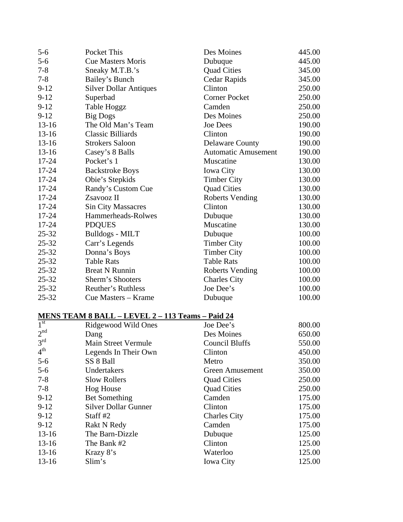| $5 - 6$   | Pocket This                   | Des Moines                 | 445.00 |
|-----------|-------------------------------|----------------------------|--------|
| $5-6$     | <b>Cue Masters Moris</b>      | Dubuque                    | 445.00 |
| $7 - 8$   | Sneaky M.T.B.'s               | <b>Quad Cities</b>         | 345.00 |
| $7 - 8$   | Bailey's Bunch                | Cedar Rapids               | 345.00 |
| $9-12$    | <b>Silver Dollar Antiques</b> | Clinton                    | 250.00 |
| $9 - 12$  | Superbad                      | <b>Corner Pocket</b>       | 250.00 |
| $9-12$    | Table Hoggz                   | Camden                     | 250.00 |
| $9 - 12$  | <b>Big Dogs</b>               | Des Moines                 | 250.00 |
| $13 - 16$ | The Old Man's Team            | <b>Joe Dees</b>            | 190.00 |
| $13-16$   | <b>Classic Billiards</b>      | Clinton                    | 190.00 |
| $13 - 16$ | <b>Strokers Saloon</b>        | <b>Delaware County</b>     | 190.00 |
| $13-16$   | Casey's 8 Balls               | <b>Automatic Amusement</b> | 190.00 |
| $17 - 24$ | Pocket's 1                    | Muscatine                  | 130.00 |
| 17-24     | <b>Backstroke Boys</b>        | Iowa City                  | 130.00 |
| 17-24     | Obie's Stepkids               | <b>Timber City</b>         | 130.00 |
| $17 - 24$ | Randy's Custom Cue            | <b>Quad Cities</b>         | 130.00 |
| 17-24     | Zsavooz II                    | <b>Roberts Vending</b>     | 130.00 |
| 17-24     | <b>Sin City Massacres</b>     | Clinton                    | 130.00 |
| $17 - 24$ | Hammerheads-Rolwes            | Dubuque                    | 130.00 |
| 17-24     | <b>PDQUES</b>                 | Muscatine                  | 130.00 |
| $25 - 32$ | <b>Bulldogs - MILT</b>        | Dubuque                    | 100.00 |
| $25 - 32$ | Carr's Legends                | <b>Timber City</b>         | 100.00 |
| $25 - 32$ | Donna's Boys                  | <b>Timber City</b>         | 100.00 |
| $25 - 32$ | <b>Table Rats</b>             | <b>Table Rats</b>          | 100.00 |
| $25 - 32$ | <b>Breat N Runnin</b>         | <b>Roberts Vending</b>     | 100.00 |
| $25 - 32$ | Sherm's Shooters              | <b>Charles City</b>        | 100.00 |
| $25 - 32$ | Reuther's Ruthless            | Joe Dee's                  | 100.00 |
| $25 - 32$ | Cue Masters - Krame           | Dubuque                    | 100.00 |

## **MENS TEAM 8 BALL – LEVEL 2 – 113 Teams – Paid 24**

| 1 <sup>st</sup> | Ridgewood Wild Ones         | Joe Dee's              | 800.00 |
|-----------------|-----------------------------|------------------------|--------|
| 2 <sup>nd</sup> | Dang                        | Des Moines             | 650.00 |
| 3 <sup>rd</sup> | Main Street Vermule         | <b>Council Bluffs</b>  | 550.00 |
| 4 <sup>th</sup> | Legends In Their Own        | Clinton                | 450.00 |
| $5-6$           | SS 8 Ball                   | Metro                  | 350.00 |
| $5 - 6$         | Undertakers                 | <b>Green Amusement</b> | 350.00 |
| $7 - 8$         | <b>Slow Rollers</b>         | <b>Quad Cities</b>     | 250.00 |
| $7 - 8$         | <b>Hog House</b>            | <b>Quad Cities</b>     | 250.00 |
| $9-12$          | <b>Bet Something</b>        | Camden                 | 175.00 |
| $9-12$          | <b>Silver Dollar Gunner</b> | Clinton                | 175.00 |
| $9 - 12$        | Staff #2                    | <b>Charles City</b>    | 175.00 |
| $9-12$          | <b>Rakt N Redy</b>          | Camden                 | 175.00 |
| $13 - 16$       | The Barn-Dizzle             | Dubuque                | 125.00 |
| $13 - 16$       | The Bank #2                 | Clinton                | 125.00 |
| $13 - 16$       | Krazy 8's                   | Waterloo               | 125.00 |
| $13 - 16$       | Slim's                      | <b>Iowa City</b>       | 125.00 |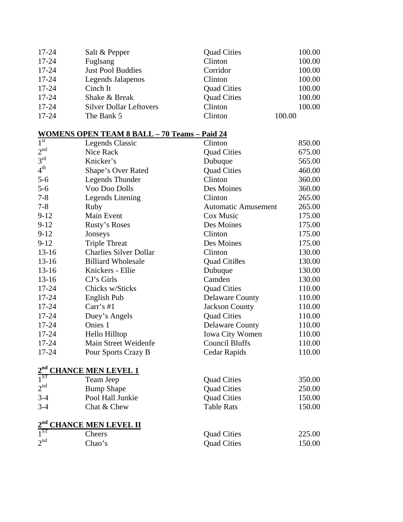| $17 - 24$ | Salt & Pepper                  | <b>Quad Cities</b> | 100.00 |
|-----------|--------------------------------|--------------------|--------|
| $17 - 24$ | Fuglsang                       | Clinton            | 100.00 |
| $17 - 24$ | <b>Just Pool Buddies</b>       | Corridor           | 100.00 |
| $17 - 24$ | Legends Jalapenos              | Clinton            | 100.00 |
| $17 - 24$ | Cinch It                       | <b>Quad Cities</b> | 100.00 |
| $17 - 24$ | Shake & Break                  | <b>Quad Cities</b> | 100.00 |
| $17 - 24$ | <b>Silver Dollar Leftovers</b> | Clinton            | 100.00 |
| $17 - 24$ | The Bank 5                     | Clinton            | 100.00 |

## **WOMENS OPEN TEAM 8 BALL – 70 Teams – Paid 24**

| 1 <sup>st</sup> | Legends Classic                    | Clinton                    | 850.00 |
|-----------------|------------------------------------|----------------------------|--------|
| 2 <sup>nd</sup> | Nice Rack                          | <b>Quad Cities</b>         |        |
| 3 <sup>rd</sup> | Knicker's                          | Dubuque                    | 565.00 |
| 4 <sup>th</sup> | Shape's Over Rated                 | <b>Quad Cities</b>         | 460.00 |
| $5 - 6$         | <b>Legends Thunder</b>             | Clinton                    | 360.00 |
| $5 - 6$         | Voo Doo Dolls                      | Des Moines                 | 360.00 |
| $7 - 8$         | Legends Litening                   | Clinton                    | 265.00 |
| $7 - 8$         | Ruby                               | <b>Automatic Amusement</b> | 265.00 |
| $9-12$          | Main Event                         | Cox Music                  | 175.00 |
| $9-12$          | Rusty's Roses                      | Des Moines                 | 175.00 |
| $9-12$          | Jonseys                            | Clinton                    | 175.00 |
| $9-12$          | <b>Triple Threat</b>               | Des Moines                 | 175.00 |
| $13-16$         | <b>Charlies Silver Dollar</b>      | Clinton                    | 130.00 |
| $13 - 16$       | <b>Billiard Wholesale</b>          | Quad Citi8es               | 130.00 |
| $13 - 16$       | Knickers - Ellie                   | Dubuque                    | 130.00 |
| $13-16$         | CJ's Girls                         | Camden                     | 130.00 |
| 17-24           | Chicks w/Sticks                    | <b>Quad Cities</b>         | 110.00 |
| 17-24           | English Pub                        | <b>Delaware County</b>     | 110.00 |
| 17-24           | Carr's #1                          | <b>Jackson County</b>      | 110.00 |
| 17-24           | Duey's Angels                      | <b>Quad Cities</b>         | 110.00 |
| 17-24           | Onies 1                            | <b>Delaware County</b>     | 110.00 |
| 17-24           | Hello Hilltop                      | Iowa City Women            | 110.00 |
| 17-24           | Main Street Weidenfe               | <b>Council Bluffs</b>      | 110.00 |
| 17-24           | Pour Sports Crazy B                | Cedar Rapids               | 110.00 |
|                 | 2 <sup>nd</sup> CHANCE MEN LEVEL 1 |                            |        |
| $1^{ST}$        | Team Jeep                          | <b>Quad Cities</b>         | 350.00 |
| 2 <sup>nd</sup> | <b>Bump Shape</b>                  | <b>Quad Cities</b>         | 250.00 |
| $3 - 4$         | Pool Hall Junkie                   | <b>Quad Cities</b>         | 150.00 |
| $3-4$           | Chat & Chew                        | <b>Table Rats</b>          | 150.00 |
| 2 <sup>nd</sup> | <b>CHANCE MEN LEVEL II</b>         |                            |        |
| $1^{ST}$        | Cheers                             | <b>Quad Cities</b>         | 225.00 |
| 2 <sup>nd</sup> | Chao's                             | <b>Quad Cities</b>         | 150.00 |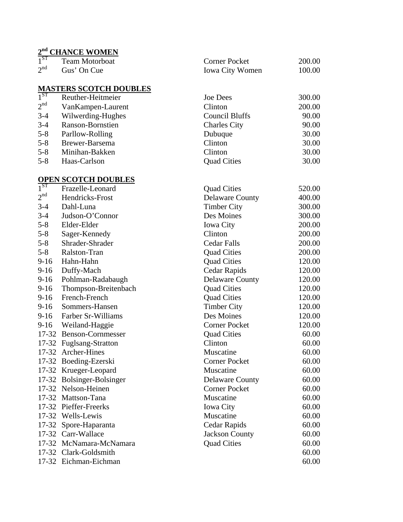## **2nd CHANCE WOMEN**

| 1 <sup>ST</sup> | <b>Team Motorboat</b> | Corner Pocket          | 200.00 |
|-----------------|-----------------------|------------------------|--------|
| 2 <sup>nd</sup> | Gus' On Cue           | <b>Iowa City Women</b> | 100.00 |

## **MASTERS SCOTCH DOUBLES**

| $1^{ST}$        | Reuther-Heitmeier | <b>Joe Dees</b>       | 300.00 |
|-----------------|-------------------|-----------------------|--------|
| 2 <sup>nd</sup> | VanKampen-Laurent | Clinton               | 200.00 |
| $3 - 4$         | Wilwerding-Hughes | <b>Council Bluffs</b> | 90.00  |
| $3 - 4$         | Ranson-Bornstien  | <b>Charles City</b>   | 90.00  |
| $5 - 8$         | Parllow-Rolling   | Dubuque               | 30.00  |
| $5 - 8$         | Brewer-Barsema    | Clinton               | 30.00  |
| $5 - 8$         | Minihan-Bakken    | Clinton               | 30.00  |
| $5 - 8$         | Haas-Carlson      | <b>Quad Cities</b>    | 30.00  |

#### **OPEN SCOTCH DOUBLES**

| $1^{ST}$        | Frazelle-Leonard          | <b>Quad Cities</b>     | 520.00 |
|-----------------|---------------------------|------------------------|--------|
| $2^{\text{nd}}$ | Hendricks-Frost           | <b>Delaware County</b> | 400.00 |
| $3-4$           | Dahl-Luna                 | <b>Timber City</b>     | 300.00 |
| $3-4$           | Judson-O'Connor           | Des Moines             | 300.00 |
| $5-8$           | Elder-Elder               | <b>Iowa City</b>       | 200.00 |
| 5-8             | Sager-Kennedy             | Clinton                | 200.00 |
| 5-8             | Shrader-Shrader           | <b>Cedar Falls</b>     | 200.00 |
| $5 - 8$         | Ralston-Tran              | <b>Quad Cities</b>     | 200.00 |
| $9-16$          | Hahn-Hahn                 | <b>Quad Cities</b>     | 120.00 |
| $9-16$          | Duffy-Mach                | Cedar Rapids           | 120.00 |
| 9-16            | Pohlman-Radabaugh         | <b>Delaware County</b> | 120.00 |
| 9-16            | Thompson-Breitenbach      | <b>Quad Cities</b>     | 120.00 |
| 9-16            | French-French             | <b>Quad Cities</b>     | 120.00 |
| 9-16            | Sommers-Hansen            | <b>Timber City</b>     | 120.00 |
| $9-16$          | Farber Sr-Williams        | Des Moines             | 120.00 |
| 9-16            | Weiland-Haggie            | <b>Corner Pocket</b>   | 120.00 |
|                 | 17-32 Benson-Cornmesser   | <b>Quad Cities</b>     | 60.00  |
|                 | 17-32 Fuglsang-Stratton   | Clinton                | 60.00  |
|                 | 17-32 Archer-Hines        | Muscatine              | 60.00  |
|                 | 17-32 Boeding-Ezerski     | <b>Corner Pocket</b>   | 60.00  |
|                 | 17-32 Krueger-Leopard     | Muscatine              | 60.00  |
|                 | 17-32 Bolsinger-Bolsinger | <b>Delaware County</b> | 60.00  |
|                 | 17-32 Nelson-Heinen       | <b>Corner Pocket</b>   | 60.00  |
|                 | 17-32 Mattson-Tana        | Muscatine              | 60.00  |
|                 | 17-32 Pieffer-Freerks     | Iowa City              | 60.00  |
|                 | 17-32 Wells-Lewis         | Muscatine              | 60.00  |
|                 | 17-32 Spore-Haparanta     | Cedar Rapids           | 60.00  |
|                 | 17-32 Carr-Wallace        | <b>Jackson County</b>  | 60.00  |
|                 | 17-32 McNamara-McNamara   | <b>Quad Cities</b>     | 60.00  |
|                 | 17-32 Clark-Goldsmith     |                        | 60.00  |
|                 | 17-32 Eichman-Eichman     |                        | 60.00  |